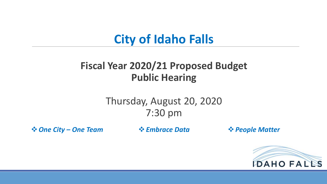# **City of Idaho Falls**

### **Fiscal Year 2020/21 Proposed Budget Public Hearing**

### Thursday, August 20, 2020 7:30 pm

**<sup>❖</sup> One City – One Team**  $\bullet \bullet$  Embrace Data  $\bullet \bullet$  People Matter

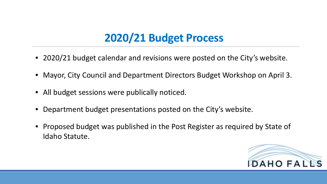# **2020/21 Budget Process**

- 2020/21 budget calendar and revisions were posted on the City's website.
- Mayor, City Council and Department Directors Budget Workshop on April 3.
- All budget sessions were publically noticed.
- Department budget presentations posted on the City's website.
- Proposed budget was published in the Post Register as required by State of Idaho Statute.

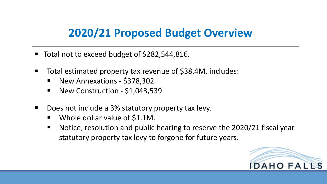## **2020/21 Proposed Budget Overview**

- Total not to exceed budget of \$282,544,816.
- Total estimated property tax revenue of \$38.4M, includes:
	- New Annexations \$378,302
	- New Construction \$1,043,539
- Does not include a 3% statutory property tax levy.
	- Whole dollar value of \$1.1M.
	- Notice, resolution and public hearing to reserve the 2020/21 fiscal year statutory property tax levy to forgone for future years.

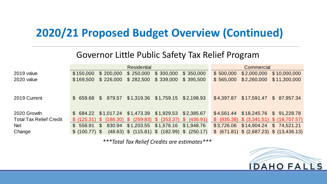## **2020/21 Proposed Budget Overview (Continued)**

#### Governor Little Public Safety Tax Relief Program

|                                |                |                | <b>Residential</b> |                                                                  |           |            | Commercial  |                                             |
|--------------------------------|----------------|----------------|--------------------|------------------------------------------------------------------|-----------|------------|-------------|---------------------------------------------|
| 2019 value                     | \$150,000      | \$200,000      | \$250,000          | \$300,000                                                        | \$350,000 | \$500,000  | \$2,000,000 | \$10,000,000                                |
| 2020 value                     | \$169,500      | \$226,000      |                    | $$282,500$ $$339,000$ $$395,500$                                 |           | \$565,000  | \$2,260,000 | \$11,300,000                                |
|                                |                |                |                    |                                                                  |           |            |             |                                             |
|                                |                |                |                    |                                                                  |           |            |             |                                             |
| 2019 Current                   | \$659.68       | $\mathbb{S}^-$ |                    | 879.57 \$1,319.36 \$1,759.15 \$2,198.93                          |           | \$4,397.87 | \$17,591.47 | \$87,957.34                                 |
|                                |                |                |                    |                                                                  |           |            |             |                                             |
| 2020 Growth                    |                |                |                    | $$684.22$ $$1,017.24$ $$1,473.39$ $$1,929.53$ $$2,385.67$        |           |            |             | $$4,561.44$ $$18,245.76$ $$91,228.78$       |
| <b>Total Tax Relief Credit</b> |                |                |                    | $$$ (125.31) $$$ (186.30) $$$ (269.83) $$$ (353.37) $$$ (436.91) |           |            |             | $$$ (835.38) $$$ (3,341.51) $$$ (16,707.57) |
| <b>Net</b>                     | \$558.91       |                |                    | \$ 830.94 \$1,203.55 \$1,576.16 \$1,948.76                       |           |            |             | $$3,726.06$ $$14,904.24$ $$74,521.21$       |
| Change                         | \$ (100.77) \$ |                |                    | $(48.63)$ \$ $(115.81)$ \$ $(182.99)$ \$ $(250.17)$              |           |            |             | $$$ (671.81) $$$ (2,687.23) $$$ (13,436.13) |

*\*\*\*Total Tax Relief Credits are estimates\*\*\**

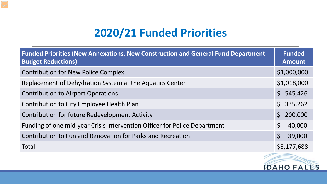# **2020/21 Funded Priorities**

| <b>Funded Priorities (New Annexations, New Construction and General Fund Department</b><br><b>Budget Reductions)</b> | <b>Funded</b><br><b>Amount</b> |
|----------------------------------------------------------------------------------------------------------------------|--------------------------------|
| <b>Contribution for New Police Complex</b>                                                                           | \$1,000,000                    |
| Replacement of Dehydration System at the Aquatics Center                                                             | \$1,018,000                    |
| <b>Contribution to Airport Operations</b>                                                                            | \$545,426                      |
| <b>Contribution to City Employee Health Plan</b>                                                                     | \$335,262                      |
| <b>Contribution for future Redevelopment Activity</b>                                                                | 200,000<br>$\mathsf{S}^-$      |
| Funding of one mid-year Crisis Intervention Officer for Police Department                                            | $\mathsf{S}$<br>40,000         |
| Contribution to Funland Renovation for Parks and Recreation                                                          | $\zeta$<br>39,000              |
| Total                                                                                                                | \$3,177,688                    |

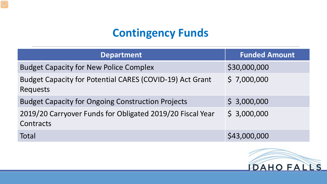# **Contingency Funds**

| <b>Department</b>                                                      | <b>Funded Amount</b> |
|------------------------------------------------------------------------|----------------------|
| <b>Budget Capacity for New Police Complex</b>                          | \$30,000,000         |
| Budget Capacity for Potential CARES (COVID-19) Act Grant<br>Requests   | \$7,000,000          |
| <b>Budget Capacity for Ongoing Construction Projects</b>               | \$3,000,000          |
| 2019/20 Carryover Funds for Obligated 2019/20 Fiscal Year<br>Contracts | \$3,000,000          |
| Total                                                                  | \$43,000,000         |

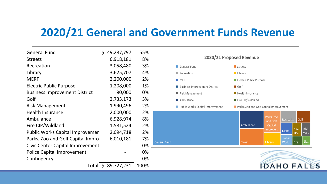### **2020/21 General and Government Funds Revenue**

| <b>General Fund</b>                     | \$49,287,797        | 55%  |
|-----------------------------------------|---------------------|------|
| <b>Streets</b>                          | 6,918,181           | 8%   |
| Recreation                              | 3,058,480           | 3%   |
| Library                                 | 3,625,707           | 4%   |
| <b>MERF</b>                             | 2,200,000           | 2%   |
| <b>Electric Public Purpose</b>          | 1,208,000           | 1%   |
| <b>Business Improvement District</b>    | 90,000              | 0%   |
| Golf                                    | 2,733,173           | 3%   |
| <b>Risk Management</b>                  | 1,990,496           | 2%   |
| <b>Health Insurance</b>                 | 2,000,000           | 2%   |
| Ambulance                               | 6,928,974           | 8%   |
| Fire CIP/Wildland                       | 1,581,524           | 2%   |
| <b>Public Works Capital Improvemen</b>  | 2,094,718           | 2%   |
| Parks, Zoo and Golf Capital Impro       | 6,010,181           | 7%   |
| <b>Civic Center Capital Improvement</b> |                     | 0%   |
| <b>Police Capital Improvement</b>       |                     | 0%   |
| Contingency                             |                     | 0%   |
|                                         | Total \$ 89,727,231 | 100% |

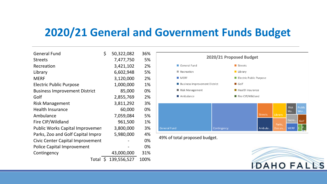## **2020/21 General and Government Funds Budget**

| <b>General Fund</b>                  | \$ | 50,322,082  | 36%  |
|--------------------------------------|----|-------------|------|
| <b>Streets</b>                       |    | 7,477,750   | 5%   |
| Recreation                           |    | 3,421,102   | 2%   |
| Library                              |    | 6,602,948   | 5%   |
| <b>MERF</b>                          |    | 3,120,000   | 2%   |
| <b>Electric Public Purpose</b>       |    | 1,000,000   | 1%   |
| <b>Business Improvement District</b> |    | 85,000      | 0%   |
| Golf                                 |    | 2,855,769   | 2%   |
| <b>Risk Management</b>               |    | 3,811,292   | 3%   |
| <b>Health Insurance</b>              |    | 60,000      | 0%   |
| Ambulance                            |    | 7,059,084   | 5%   |
| Fire CIP/Wildland                    |    | 961,500     | 1%   |
| Public Works Capital Improvemen      |    | 3,800,000   | 3%   |
| Parks, Zoo and Golf Capital Impro    |    | 5,980,000   | 4%   |
| Civic Center Capital Improvement     |    |             | 0%   |
| <b>Police Capital Improvement</b>    |    |             | 0%   |
| Contingency                          |    | 43,000,000  | 31%  |
| Total                                | S. | 139,556,527 | 100% |



49% of total proposed budget.

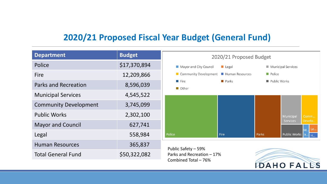#### **2020/21 Proposed Fiscal Year Budget (General Fund)**

| <b>Department</b>            | <b>Budget</b> | 2020/21 Proposed Budget                            |                      |              |                                 |  |
|------------------------------|---------------|----------------------------------------------------|----------------------|--------------|---------------------------------|--|
| Police                       | \$17,370,894  | Mayor and City Council                             | $\blacksquare$ Legal |              | Municipal Services              |  |
| Fire                         | 12,209,866    | Community Development<br>Human Resources           |                      | Police       |                                 |  |
| <b>Parks and Recreation</b>  | 8,596,039     | <b>Parks</b><br>Fire<br>Other                      |                      | Public Works |                                 |  |
| <b>Municipal Services</b>    | 4,545,522     |                                                    |                      |              |                                 |  |
| <b>Community Development</b> | 3,745,099     |                                                    |                      |              |                                 |  |
| <b>Public Works</b>          | 2,302,100     |                                                    |                      |              | Municipal<br>Comm               |  |
| <b>Mayor and Council</b>     | 627,741       |                                                    |                      |              | <b>Services</b><br>Develo<br>Le |  |
| Legal                        | 558,984       | Police                                             | Fire                 | Parks        | Public Works a<br>'u.           |  |
| <b>Human Resources</b>       | 365,837       | Public Safety - 59%                                |                      |              |                                 |  |
| <b>Total General Fund</b>    | \$50,322,082  | Parks and Recreation - 17%<br>Combined Total - 76% |                      |              |                                 |  |
|                              |               |                                                    |                      | DAHO FA      |                                 |  |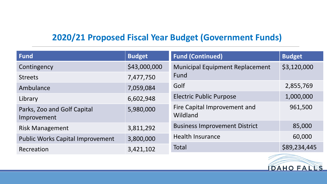#### **2020/21 Proposed Fiscal Year Budget (Government Funds)**

| Fund                                       | <b>Budget</b> | <b>Fund (Continued)</b>                  | <b>Budget</b> |
|--------------------------------------------|---------------|------------------------------------------|---------------|
| Contingency                                | \$43,000,000  | <b>Municipal Equipment Replacement</b>   | \$3,120,000   |
| <b>Streets</b>                             | 7,477,750     | Fund                                     |               |
| Ambulance                                  | 7,059,084     | Golf                                     | 2,855,769     |
| Library                                    | 6,602,948     | <b>Electric Public Purpose</b>           | 1,000,000     |
| Parks, Zoo and Golf Capital<br>Improvement | 5,980,000     | Fire Capital Improvement and<br>Wildland | 961,500       |
| <b>Risk Management</b>                     | 3,811,292     | <b>Business Improvement District</b>     | 85,000        |
| <b>Public Works Capital Improvement</b>    | 3,800,000     | <b>Health Insurance</b>                  | 60,000        |
| Recreation                                 | 3,421,102     | Total                                    | \$89,234,445  |

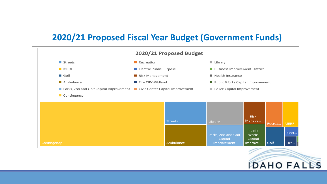#### **2020/21 Proposed Fiscal Year Budget (Government Funds)**



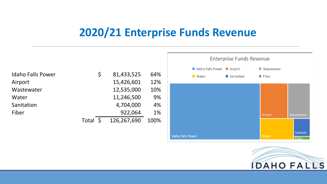# **2020/21 Enterprise Funds Revenue**

**Idaho Falls Power** 

|                          |          |             |      |                           | <b>Enterprise Funds Revenue</b> |              |
|--------------------------|----------|-------------|------|---------------------------|---------------------------------|--------------|
|                          |          |             |      | Idaho Falls Power Airport |                                 | ■ Wastewater |
| <b>Idaho Falls Power</b> | \$       | 81,433,525  | 64%  | ■ Water                   | Sanitation                      | Fiber        |
| Airport                  |          | 15,426,601  | 12%  |                           |                                 |              |
| Wastewater               |          | 12,535,000  | 10%  |                           |                                 |              |
| Water                    |          | 11,246,500  | 9%   |                           |                                 |              |
| Sanitation               |          | 4,704,000   | 4%   |                           |                                 |              |
| Fiber                    |          | 922,064     | 1%   |                           |                                 | Airport      |
|                          | Total \$ | 126,267,690 | 100% |                           |                                 |              |
|                          |          |             |      |                           |                                 |              |



Water

Wastewater

Sanitati.

Fiber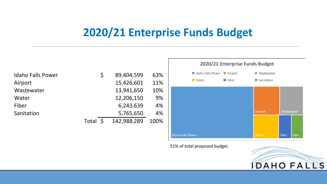### **2020/21 Enterprise Funds Budget**

| <b>Idaho Falls Power</b> | $\mathsf{S}$ | 89,404,599  | 63%  |
|--------------------------|--------------|-------------|------|
| Airport                  |              | 15,426,601  | 11%  |
| Wastewater               |              | 13,941,650  | 10%  |
| Water                    |              | 12,206,150  | 9%   |
| Fiber                    |              | 6,243,639   | 4%   |
| Sanitation               |              | 5,765,650   | 4%   |
|                          | Total \$     | 142,988,289 | 100% |



51% of total proposed budget.

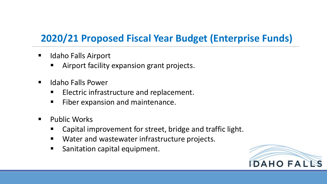### **2020/21 Proposed Fiscal Year Budget (Enterprise Funds)**

- **IDALA:** Idaho Falls Airport
	- **E** Airport facility expansion grant projects.
- **IDALA Falls Power** 
	- **ELECTRIC INTELEXT EXAMORE FIG.** Electric infrastructure and replacement.
	- **Fiber expansion and maintenance.**
- **Public Works** 
	- Capital improvement for street, bridge and traffic light.
	- **Nater and wastewater infrastructure projects.**
	- Sanitation capital equipment.